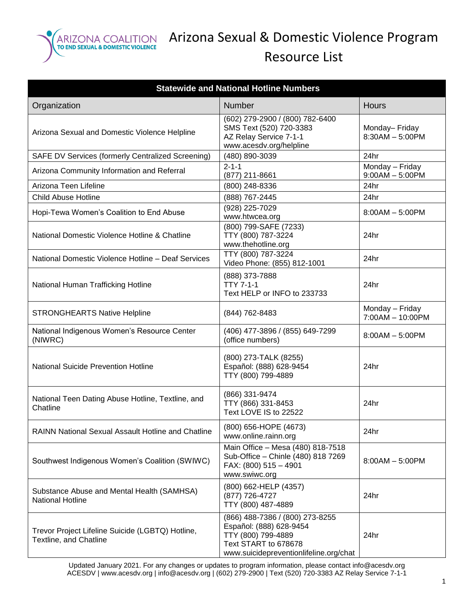

| <b>Statewide and National Hotline Numbers</b>                                     |                                                                                                                                                    |                                      |  |
|-----------------------------------------------------------------------------------|----------------------------------------------------------------------------------------------------------------------------------------------------|--------------------------------------|--|
| Organization                                                                      | Number                                                                                                                                             | <b>Hours</b>                         |  |
| Arizona Sexual and Domestic Violence Helpline                                     | $(602)$ 279-2900 / (800) 782-6400<br>SMS Text (520) 720-3383<br>AZ Relay Service 7-1-1<br>www.acesdv.org/helpline                                  | Monday-Friday<br>$8:30AM - 5:00PM$   |  |
| SAFE DV Services (formerly Centralized Screening)                                 | (480) 890-3039                                                                                                                                     | 24hr                                 |  |
| Arizona Community Information and Referral                                        | $2 - 1 - 1$<br>(877) 211-8661                                                                                                                      | Monday - Friday<br>$9:00AM - 5:00PM$ |  |
| Arizona Teen Lifeline                                                             | (800) 248-8336                                                                                                                                     | 24hr                                 |  |
| <b>Child Abuse Hotline</b>                                                        | (888) 767-2445                                                                                                                                     | 24hr                                 |  |
| Hopi-Tewa Women's Coalition to End Abuse                                          | (928) 225-7029<br>www.htwcea.org                                                                                                                   | $8:00AM - 5:00PM$                    |  |
| National Domestic Violence Hotline & Chatline                                     | (800) 799-SAFE (7233)<br>TTY (800) 787-3224<br>www.thehotline.org                                                                                  | 24hr                                 |  |
| National Domestic Violence Hotline - Deaf Services                                | TTY (800) 787-3224<br>Video Phone: (855) 812-1001                                                                                                  | 24hr                                 |  |
| National Human Trafficking Hotline                                                | (888) 373-7888<br><b>TTY 7-1-1</b><br>Text HELP or INFO to 233733                                                                                  | 24hr                                 |  |
| <b>STRONGHEARTS Native Helpline</b>                                               | (844) 762-8483                                                                                                                                     | Monday - Friday<br>7:00AM - 10:00PM  |  |
| National Indigenous Women's Resource Center<br>(NIWRC)                            | (406) 477-3896 / (855) 649-7299<br>(office numbers)                                                                                                | $8:00AM - 5:00PM$                    |  |
| <b>National Suicide Prevention Hotline</b>                                        | (800) 273-TALK (8255)<br>Español: (888) 628-9454<br>TTY (800) 799-4889                                                                             | 24hr                                 |  |
| National Teen Dating Abuse Hotline, Textline, and<br>Chatline                     | (866) 331-9474<br>TTY (866) 331-8453<br>Text LOVE IS to 22522                                                                                      | 24hr                                 |  |
| RAINN National Sexual Assault Hotline and Chatline                                | (800) 656-HOPE (4673)<br>www.online.rainn.org                                                                                                      | 24hr                                 |  |
| Southwest Indigenous Women's Coalition (SWIWC)                                    | Main Office - Mesa (480) 818-7518<br>Sub-Office - Chinle (480) 818 7269<br>FAX: (800) 515 - 4901<br>www.swiwc.org                                  | $8:00AM - 5:00PM$                    |  |
| Substance Abuse and Mental Health (SAMHSA)<br><b>National Hotline</b>             | (800) 662-HELP (4357)<br>(877) 726-4727<br>TTY (800) 487-4889                                                                                      | 24hr                                 |  |
| Trevor Project Lifeline Suicide (LGBTQ) Hotline,<br><b>Textline, and Chatline</b> | (866) 488-7386 / (800) 273-8255<br>Español: (888) 628-9454<br>TTY (800) 799-4889<br>Text START to 678678<br>www.suicidepreventionlifeline.org/chat | 24hr                                 |  |

Updated January 2021. For any changes or updates to program information, please contact info@acesdv.org ACESDV | www.acesdv.org | info@acesdv.org | (602) 279-2900 | Text (520) 720-3383 AZ Relay Service 7-1-1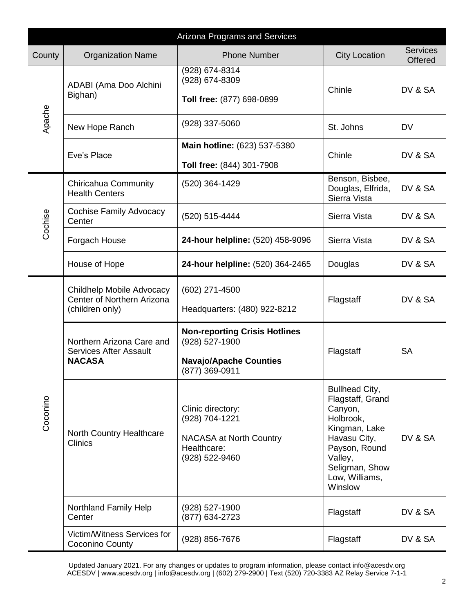| Arizona Programs and Services |                                                                             |                                                                                                           |                                                                                                                                                                               |                                   |
|-------------------------------|-----------------------------------------------------------------------------|-----------------------------------------------------------------------------------------------------------|-------------------------------------------------------------------------------------------------------------------------------------------------------------------------------|-----------------------------------|
| County                        | <b>Organization Name</b>                                                    | <b>Phone Number</b>                                                                                       | <b>City Location</b>                                                                                                                                                          | <b>Services</b><br><b>Offered</b> |
| Apache                        | ADABI (Ama Doo Alchini<br>Bighan)                                           | (928) 674-8314<br>(928) 674-8309<br>Toll free: (877) 698-0899                                             | Chinle                                                                                                                                                                        | DV & SA                           |
|                               | New Hope Ranch                                                              | (928) 337-5060                                                                                            | St. Johns                                                                                                                                                                     | <b>DV</b>                         |
|                               | Eve's Place                                                                 | Main hotline: (623) 537-5380<br>Toll free: (844) 301-7908                                                 | Chinle                                                                                                                                                                        | DV & SA                           |
|                               | Chiricahua Community<br><b>Health Centers</b>                               | (520) 364-1429                                                                                            | Benson, Bisbee,<br>Douglas, Elfrida,<br>Sierra Vista                                                                                                                          | DV & SA                           |
| Cochise                       | Cochise Family Advocacy<br>Center                                           | (520) 515-4444                                                                                            | Sierra Vista                                                                                                                                                                  | DV & SA                           |
|                               | Forgach House                                                               | 24-hour helpline: (520) 458-9096                                                                          | Sierra Vista                                                                                                                                                                  | DV & SA                           |
|                               | House of Hope                                                               | 24-hour helpline: (520) 364-2465                                                                          | Douglas                                                                                                                                                                       | DV & SA                           |
| Coconino                      | Childhelp Mobile Advocacy<br>Center of Northern Arizona<br>(children only)  | (602) 271-4500<br>Headquarters: (480) 922-8212                                                            | Flagstaff                                                                                                                                                                     | DV & SA                           |
|                               | Northern Arizona Care and<br><b>Services After Assault</b><br><b>NACASA</b> | <b>Non-reporting Crisis Hotlines</b><br>(928) 527-1900<br><b>Navajo/Apache Counties</b><br>(877) 369-0911 | Flagstaff                                                                                                                                                                     | <b>SA</b>                         |
|                               | <b>North Country Healthcare</b><br><b>Clinics</b>                           | Clinic directory:<br>(928) 704-1221<br><b>NACASA at North Country</b><br>Healthcare:<br>(928) 522-9460    | <b>Bullhead City,</b><br>Flagstaff, Grand<br>Canyon,<br>Holbrook,<br>Kingman, Lake<br>Havasu City,<br>Payson, Round<br>Valley,<br>Seligman, Show<br>Low, Williams,<br>Winslow | DV & SA                           |
|                               | Northland Family Help<br>Center                                             | (928) 527-1900<br>(877) 634-2723                                                                          | Flagstaff                                                                                                                                                                     | DV & SA                           |
|                               | Victim/Witness Services for<br>Coconino County                              | (928) 856-7676                                                                                            | Flagstaff                                                                                                                                                                     | DV & SA                           |

Updated January 2021. For any changes or updates to program information, please contact info@acesdv.org ACESDV | www.acesdv.org | info@acesdv.org | (602) 279-2900 | Text (520) 720-3383 AZ Relay Service 7-1-1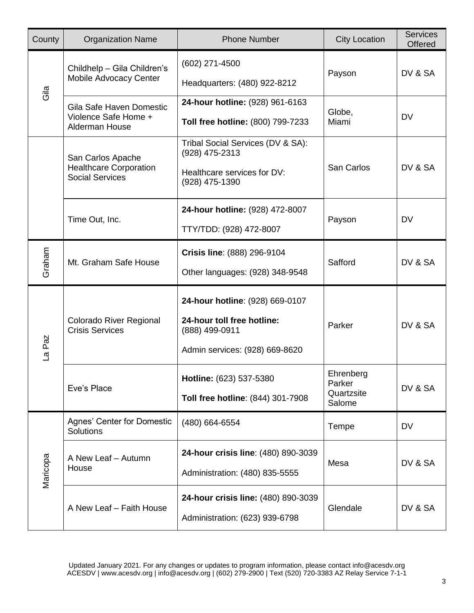| County   | <b>Organization Name</b>                                                     | <b>Phone Number</b>                                                                                               | <b>City Location</b>                        | <b>Services</b><br>Offered |
|----------|------------------------------------------------------------------------------|-------------------------------------------------------------------------------------------------------------------|---------------------------------------------|----------------------------|
| Gila     | Childhelp - Gila Children's<br>Mobile Advocacy Center                        | (602) 271-4500<br>Headquarters: (480) 922-8212                                                                    | Payson                                      | DV & SA                    |
|          | Gila Safe Haven Domestic<br>Violence Safe Home +<br>Alderman House           | 24-hour hotline: (928) 961-6163<br>Toll free hotline: (800) 799-7233                                              | Globe,<br>Miami                             | <b>DV</b>                  |
|          | San Carlos Apache<br><b>Healthcare Corporation</b><br><b>Social Services</b> | Tribal Social Services (DV & SA):<br>(928) 475-2313<br>Healthcare services for DV:<br>(928) 475-1390              | San Carlos                                  | DV & SA                    |
|          | Time Out, Inc.                                                               | 24-hour hotline: (928) 472-8007<br>TTY/TDD: (928) 472-8007                                                        | Payson                                      | <b>DV</b>                  |
| Graham   | Mt. Graham Safe House                                                        | Crisis line: (888) 296-9104<br>Other languages: (928) 348-9548                                                    | Safford                                     | DV & SA                    |
| La Paz   | Colorado River Regional<br><b>Crisis Services</b>                            | 24-hour hotline: (928) 669-0107<br>24-hour toll free hotline:<br>(888) 499-0911<br>Admin services: (928) 669-8620 | Parker                                      | DV & SA                    |
|          | Eve's Place                                                                  | Hotline: (623) 537-5380<br>Toll free hotline: (844) 301-7908                                                      | Ehrenberg<br>Parker<br>Quartzsite<br>Salome | DV & SA                    |
| Maricopa | Agnes' Center for Domestic<br>Solutions                                      | (480) 664-6554                                                                                                    | Tempe                                       | <b>DV</b>                  |
|          | A New Leaf - Autumn<br>House                                                 | 24-hour crisis line: (480) 890-3039<br>Administration: (480) 835-5555                                             | Mesa                                        | DV & SA                    |
|          | A New Leaf - Faith House                                                     | 24-hour crisis line: (480) 890-3039<br>Administration: (623) 939-6798                                             | Glendale                                    | DV & SA                    |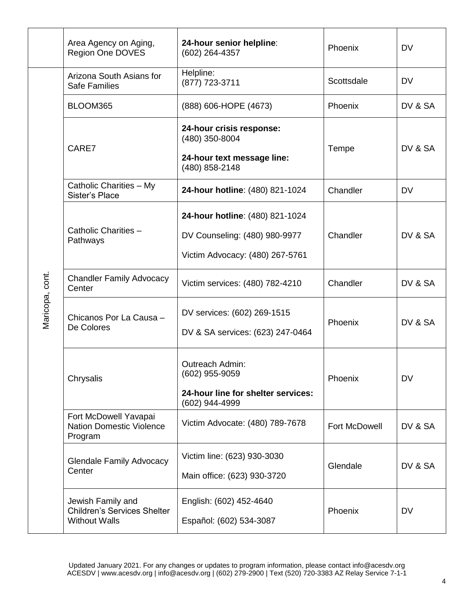|                 | Area Agency on Aging,<br><b>Region One DOVES</b>                                | 24-hour senior helpline:<br>(602) 264-4357                                                          | Phoenix              | <b>DV</b> |
|-----------------|---------------------------------------------------------------------------------|-----------------------------------------------------------------------------------------------------|----------------------|-----------|
|                 | Arizona South Asians for<br><b>Safe Families</b>                                | Helpline:<br>(877) 723-3711                                                                         | Scottsdale           | <b>DV</b> |
|                 | BLOOM365                                                                        | (888) 606-HOPE (4673)                                                                               | Phoenix              | DV & SA   |
|                 | CARE7                                                                           | 24-hour crisis response:<br>(480) 350-8004<br>24-hour text message line:<br>(480) 858-2148          | Tempe                | DV & SA   |
|                 | Catholic Charities - My<br>Sister's Place                                       | 24-hour hotline: (480) 821-1024                                                                     | Chandler             | <b>DV</b> |
| Maricopa, cont. | Catholic Charities -<br>Pathways                                                | 24-hour hotline: (480) 821-1024<br>DV Counseling: (480) 980-9977<br>Victim Advocacy: (480) 267-5761 | Chandler             | DV & SA   |
|                 | <b>Chandler Family Advocacy</b><br>Center                                       | Victim services: (480) 782-4210                                                                     | Chandler             | DV & SA   |
|                 | Chicanos Por La Causa -<br>De Colores                                           | DV services: (602) 269-1515<br>DV & SA services: (623) 247-0464                                     | Phoenix              | DV & SA   |
|                 | Chrysalis                                                                       | Outreach Admin:<br>(602) 955-9059<br>24-hour line for shelter services:<br>(602) 944-4999           | Phoenix              | <b>DV</b> |
|                 | Fort McDowell Yavapai<br><b>Nation Domestic Violence</b><br>Program             | Victim Advocate: (480) 789-7678                                                                     | <b>Fort McDowell</b> | DV & SA   |
|                 | <b>Glendale Family Advocacy</b><br>Center                                       | Victim line: (623) 930-3030<br>Main office: (623) 930-3720                                          | Glendale             | DV & SA   |
|                 | Jewish Family and<br><b>Children's Services Shelter</b><br><b>Without Walls</b> | English: (602) 452-4640<br>Español: (602) 534-3087                                                  | Phoenix              | <b>DV</b> |

4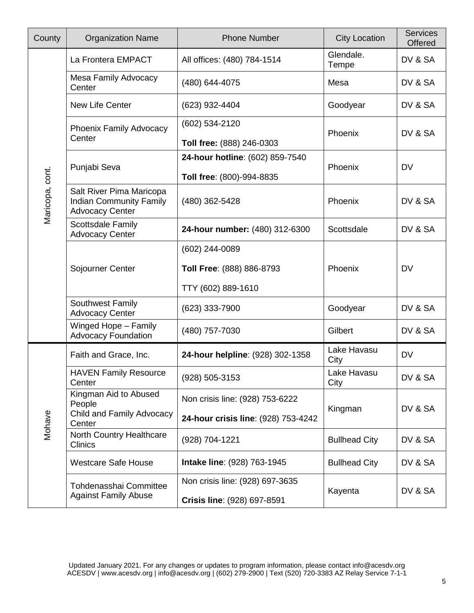| County          | <b>Organization Name</b>                                                             | <b>Phone Number</b>                 | <b>City Location</b> | <b>Services</b><br>Offered |
|-----------------|--------------------------------------------------------------------------------------|-------------------------------------|----------------------|----------------------------|
|                 | La Frontera EMPACT                                                                   | All offices: (480) 784-1514         | Glendale.<br>Tempe   | DV & SA                    |
|                 | <b>Mesa Family Advocacy</b><br>Center                                                | (480) 644-4075                      | Mesa                 | DV & SA                    |
|                 | New Life Center                                                                      | (623) 932-4404                      | Goodyear             | DV & SA                    |
|                 | Phoenix Family Advocacy<br>Center                                                    | (602) 534-2120                      | Phoenix              | DV & SA                    |
|                 |                                                                                      | Toll free: (888) 246-0303           |                      |                            |
|                 | Punjabi Seva                                                                         | 24-hour hotline: (602) 859-7540     | Phoenix              | <b>DV</b>                  |
|                 |                                                                                      | Toll free: (800)-994-8835           |                      |                            |
| Maricopa, cont. | Salt River Pima Maricopa<br><b>Indian Community Family</b><br><b>Advocacy Center</b> | (480) 362-5428                      | Phoenix              | DV & SA                    |
|                 | <b>Scottsdale Family</b><br><b>Advocacy Center</b>                                   | 24-hour number: (480) 312-6300      | Scottsdale           | DV & SA                    |
|                 |                                                                                      | (602) 244-0089                      |                      |                            |
|                 | Sojourner Center                                                                     | Toll Free: (888) 886-8793           | Phoenix              | <b>DV</b>                  |
|                 |                                                                                      | TTY (602) 889-1610                  |                      |                            |
|                 | Southwest Family<br><b>Advocacy Center</b>                                           | (623) 333-7900                      | Goodyear             | DV & SA                    |
|                 | Winged Hope - Family<br><b>Advocacy Foundation</b>                                   | (480) 757-7030                      | Gilbert              | DV & SA                    |
|                 | Faith and Grace, Inc.                                                                | 24-hour helpline: (928) 302-1358    | Lake Havasu<br>City  | <b>DV</b>                  |
|                 | <b>HAVEN Family Resource</b><br>Center                                               | (928) 505-3153                      | Lake Havasu<br>City  | DV & SA                    |
| Mohave          | Kingman Aid to Abused<br>People                                                      | Non crisis line: (928) 753-6222     | Kingman              | DV & SA                    |
|                 | Child and Family Advocacy<br>Center                                                  | 24-hour crisis line: (928) 753-4242 |                      |                            |
|                 | North Country Healthcare<br><b>Clinics</b>                                           | (928) 704-1221                      | <b>Bullhead City</b> | DV & SA                    |
|                 | <b>Westcare Safe House</b>                                                           | Intake line: (928) 763-1945         | <b>Bullhead City</b> | DV & SA                    |
|                 | Tohdenasshai Committee<br><b>Against Family Abuse</b>                                | Non crisis line: (928) 697-3635     | Kayenta              | DV & SA                    |
|                 |                                                                                      | Crisis line: (928) 697-8591         |                      |                            |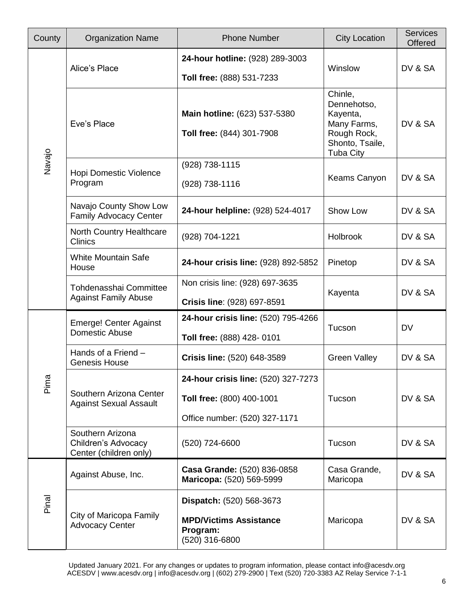| County | <b>Organization Name</b>                                          | <b>Phone Number</b>                                                                               | <b>City Location</b>                                                                                    | <b>Services</b><br><b>Offered</b> |
|--------|-------------------------------------------------------------------|---------------------------------------------------------------------------------------------------|---------------------------------------------------------------------------------------------------------|-----------------------------------|
|        | Alice's Place                                                     | 24-hour hotline: (928) 289-3003<br>Toll free: (888) 531-7233                                      | Winslow                                                                                                 | DV & SA                           |
|        | Eve's Place                                                       | Main hotline: (623) 537-5380<br>Toll free: (844) 301-7908                                         | Chinle,<br>Dennehotso,<br>Kayenta,<br>Many Farms,<br>Rough Rock,<br>Shonto, Tsaile,<br><b>Tuba City</b> | DV & SA                           |
| Navajo | Hopi Domestic Violence<br>Program                                 | (928) 738-1115<br>(928) 738-1116                                                                  | Keams Canyon                                                                                            | DV & SA                           |
|        | Navajo County Show Low<br><b>Family Advocacy Center</b>           | 24-hour helpline: (928) 524-4017                                                                  | Show Low                                                                                                | DV & SA                           |
|        | North Country Healthcare<br><b>Clinics</b>                        | (928) 704-1221                                                                                    | Holbrook                                                                                                | DV & SA                           |
|        | <b>White Mountain Safe</b><br>House                               | 24-hour crisis line: (928) 892-5852                                                               | Pinetop                                                                                                 | DV & SA                           |
|        | Tohdenasshai Committee<br><b>Against Family Abuse</b>             | Non crisis line: (928) 697-3635<br>Crisis line: (928) 697-8591                                    | Kayenta                                                                                                 | DV & SA                           |
|        | <b>Emerge! Center Against</b><br>Domestic Abuse                   | 24-hour crisis line: (520) 795-4266<br>Toll free: (888) 428-0101                                  | Tucson                                                                                                  | <b>DV</b>                         |
|        | Hands of a Friend -<br><b>Genesis House</b>                       | Crisis line: (520) 648-3589                                                                       | <b>Green Valley</b>                                                                                     | DV & SA                           |
| Pima   | Southern Arizona Center<br><b>Against Sexual Assault</b>          | 24-hour crisis line: (520) 327-7273<br>Toll free: (800) 400-1001<br>Office number: (520) 327-1171 | Tucson                                                                                                  | DV & SA                           |
|        | Southern Arizona<br>Children's Advocacy<br>Center (children only) | (520) 724-6600                                                                                    | Tucson                                                                                                  | DV & SA                           |
| Pinal  | Against Abuse, Inc.                                               | Casa Grande: (520) 836-0858<br>Maricopa: (520) 569-5999                                           | Casa Grande,<br>Maricopa                                                                                | DV & SA                           |
|        | City of Maricopa Family<br><b>Advocacy Center</b>                 | Dispatch: (520) 568-3673<br><b>MPD/Victims Assistance</b><br>Program:<br>(520) 316-6800           | Maricopa                                                                                                | DV & SA                           |

Updated January 2021. For any changes or updates to program information, please contact info@acesdv.org ACESDV | www.acesdv.org | info@acesdv.org | (602) 279-2900 | Text (520) 720-3383 AZ Relay Service 7-1-1